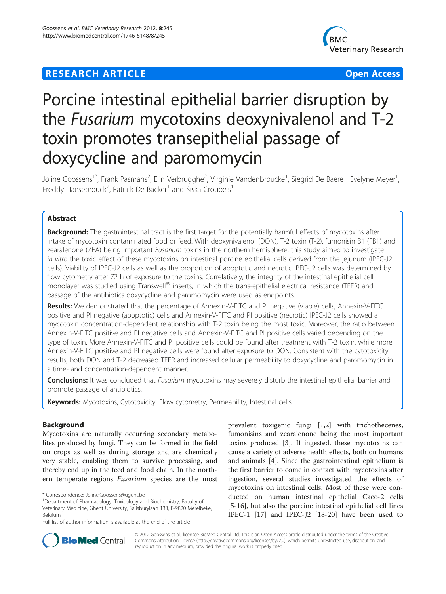## **RESEARCH ARTICLE Example 2018 12:00 Department of the Contract Open Access**



# Porcine intestinal epithelial barrier disruption by the Fusarium mycotoxins deoxynivalenol and T-2 toxin promotes transepithelial passage of doxycycline and paromomycin

Joline Goossens<sup>1\*</sup>, Frank Pasmans<sup>2</sup>, Elin Verbrugghe<sup>2</sup>, Virginie Vandenbroucke<sup>1</sup>, Siegrid De Baere<sup>1</sup>, Evelyne Meyer<sup>1</sup> , Freddy Haesebrouck<sup>2</sup>, Patrick De Backer<sup>1</sup> and Siska Croubels<sup>1</sup>

## Abstract

Background: The gastrointestinal tract is the first target for the potentially harmful effects of mycotoxins after intake of mycotoxin contaminated food or feed. With deoxynivalenol (DON), T-2 toxin (T-2), fumonisin B1 (FB1) and zearalenone (ZEA) being important Fusarium toxins in the northern hemisphere, this study aimed to investigate in vitro the toxic effect of these mycotoxins on intestinal porcine epithelial cells derived from the jejunum (IPEC-J2 cells). Viability of IPEC-J2 cells as well as the proportion of apoptotic and necrotic IPEC-J2 cells was determined by flow cytometry after 72 h of exposure to the toxins. Correlatively, the integrity of the intestinal epithelial cell monolayer was studied using Transwell® inserts, in which the trans-epithelial electrical resistance (TEER) and passage of the antibiotics doxycycline and paromomycin were used as endpoints.

Results: We demonstrated that the percentage of Annexin-V-FITC and PI negative (viable) cells, Annexin-V-FITC positive and PI negative (apoptotic) cells and Annexin-V-FITC and PI positive (necrotic) IPEC-J2 cells showed a mycotoxin concentration-dependent relationship with T-2 toxin being the most toxic. Moreover, the ratio between Annexin-V-FITC positive and PI negative cells and Annexin-V-FITC and PI positive cells varied depending on the type of toxin. More Annexin-V-FITC and PI positive cells could be found after treatment with T-2 toxin, while more Annexin-V-FITC positive and PI negative cells were found after exposure to DON. Consistent with the cytotoxicity results, both DON and T-2 decreased TEER and increased cellular permeability to doxycycline and paromomycin in a time- and concentration-dependent manner.

Conclusions: It was concluded that Fusarium mycotoxins may severely disturb the intestinal epithelial barrier and promote passage of antibiotics.

Keywords: Mycotoxins, Cytotoxicity, Flow cytometry, Permeability, Intestinal cells

## Background

Mycotoxins are naturally occurring secondary metabolites produced by fungi. They can be formed in the field on crops as well as during storage and are chemically very stable, enabling them to survive processing, and thereby end up in the feed and food chain. In the northern temperate regions Fusarium species are the most

prevalent toxigenic fungi [[1,2\]](#page-8-0) with trichothecenes, fumonisins and zearalenone being the most important toxins produced [[3\]](#page-8-0). If ingested, these mycotoxins can cause a variety of adverse health effects, both on humans and animals [[4\]](#page-8-0). Since the gastrointestinal epithelium is the first barrier to come in contact with mycotoxins after ingestion, several studies investigated the effects of mycotoxins on intestinal cells. Most of these were conducted on human intestinal epithelial Caco-2 cells [[5-16](#page-8-0)], but also the porcine intestinal epithelial cell lines IPEC-1 [\[17\]](#page-8-0) and IPEC-J2 [\[18](#page-8-0)-[20](#page-8-0)] have been used to



© 2012 Goossens et al.; licensee BioMed Central Ltd. This is an Open Access article distributed under the terms of the Creative Commons Attribution License [\(http://creativecommons.org/licenses/by/2.0\)](http://creativecommons.org/licenses/by/2.0), which permits unrestricted use, distribution, and reproduction in any medium, provided the original work is properly cited.

<sup>\*</sup> Correspondence: [Joline.Goossens@ugent.be](mailto:Joline.Goossens@ugent.be) <sup>1</sup>

Department of Pharmacology, Toxicology and Biochemistry, Faculty of Veterinary Medicine, Ghent University, Salisburylaan 133, B-9820 Merelbeke, Belgium

Full list of author information is available at the end of the article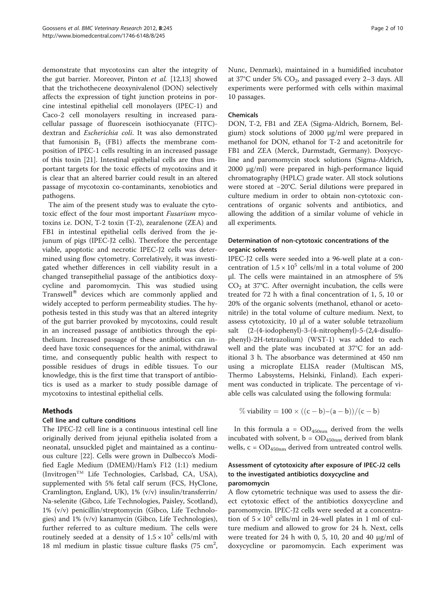demonstrate that mycotoxins can alter the integrity of the gut barrier. Moreover, Pinton et al. [[12,13\]](#page-8-0) showed that the trichothecene deoxynivalenol (DON) selectively affects the expression of tight junction proteins in porcine intestinal epithelial cell monolayers (IPEC-1) and Caco-2 cell monolayers resulting in increased paracellular passage of fluorescein isothiocyanate (FITC) dextran and Escherichia coli. It was also demonstrated that fumonisin  $B_1$  (FB1) affects the membrane composition of IPEC-1 cells resulting in an increased passage of this toxin [\[21\]](#page-8-0). Intestinal epithelial cells are thus important targets for the toxic effects of mycotoxins and it is clear that an altered barrier could result in an altered passage of mycotoxin co-contaminants, xenobiotics and pathogens.

The aim of the present study was to evaluate the cytotoxic effect of the four most important Fusarium mycotoxins i.e. DON, T-2 toxin (T-2), zearalenone (ZEA) and FB1 in intestinal epithelial cells derived from the jejunum of pigs (IPEC-J2 cells). Therefore the percentage viable, apoptotic and necrotic IPEC-J2 cells was determined using flow cytometry. Correlatively, it was investigated whether differences in cell viability result in a changed transepithelial passage of the antibiotics doxycycline and paromomycin. This was studied using Transwell $^{\circledR}$  devices which are commonly applied and widely accepted to perform permeability studies. The hypothesis tested in this study was that an altered integrity of the gut barrier provoked by mycotoxins, could result in an increased passage of antibiotics through the epithelium. Increased passage of these antibiotics can indeed have toxic consequences for the animal, withdrawal time, and consequently public health with respect to possible residues of drugs in edible tissues. To our knowledge, this is the first time that transport of antibiotics is used as a marker to study possible damage of mycotoxins to intestinal epithelial cells.

#### Methods

#### Cell line and culture conditions

The IPEC-J2 cell line is a continuous intestinal cell line originally derived from jejunal epithelia isolated from a neonatal, unsuckled piglet and maintained as a continuous culture [\[22](#page-8-0)]. Cells were grown in Dulbecco's Modified Eagle Medium (DMEM)/Ham's F12 (1:1) medium (InvitrogenTM Life Technologies, Carlsbad, CA, USA), supplemented with 5% fetal calf serum (FCS, HyClone, Cramlington, England, UK), 1% (v/v) insulin/transferrin/ Na-selenite (Gibco, Life Technologies, Paisley, Scotland), 1% (v/v) penicillin/streptomycin (Gibco, Life Technologies) and 1% (v/v) kanamycin (Gibco, Life Technologies), further referred to as culture medium. The cells were routinely seeded at a density of  $1.5 \times 10^5$  cells/ml with 18 ml medium in plastic tissue culture flasks (75  $\text{cm}^2$ ,

Nunc, Denmark), maintained in a humidified incubator at  $37^{\circ}$ C under 5%  $CO_2$ , and passaged every 2-3 days. All experiments were performed with cells within maximal 10 passages.

#### Chemicals

DON, T-2, FB1 and ZEA (Sigma-Aldrich, Bornem, Belgium) stock solutions of 2000 μg/ml were prepared in methanol for DON, ethanol for T-2 and acetonitrile for FB1 and ZEA (Merck, Darmstadt, Germany). Doxycycline and paromomycin stock solutions (Sigma-Aldrich, 2000 μg/ml) were prepared in high-performance liquid chromatography (HPLC) grade water. All stock solutions were stored at −20°C. Serial dilutions were prepared in culture medium in order to obtain non-cytotoxic concentrations of organic solvents and antibiotics, and allowing the addition of a similar volume of vehicle in all experiments.

## Determination of non-cytotoxic concentrations of the organic solvents

IPEC-J2 cells were seeded into a 96-well plate at a concentration of  $1.5 \times 10^5$  cells/ml in a total volume of 200 μl. The cells were maintained in an atmosphere of 5%  $CO<sub>2</sub>$  at 37°C. After overnight incubation, the cells were treated for 72 h with a final concentration of 1, 5, 10 or 20% of the organic solvents (methanol, ethanol or acetonitrile) in the total volume of culture medium. Next, to assess cytotoxicity, 10 μl of a water soluble tetrazolium salt (2-(4-iodophenyl)-3-(4-nitrophenyl)-5-(2,4-disulfophenyl)-2H-tetrazolium) (WST-1) was added to each well and the plate was incubated at 37°C for an additional 3 h. The absorbance was determined at 450 nm using a microplate ELISA reader (Multiscan MS, Thermo Labsystems, Helsinki, Finland). Each experiment was conducted in triplicate. The percentage of viable cells was calculated using the following formula:

$$
\% \text{ viability} = 100 \times ((c-b)-(a-b))/(c-b)
$$

In this formula  $a = OD_{450nm}$  derived from the wells incubated with solvent,  $b = OD_{450nm}$  derived from blank wells,  $c = OD_{450nm}$  derived from untreated control wells.

## Assessment of cytotoxicity after exposure of IPEC-J2 cells to the investigated antibiotics doxycycline and paromomycin

A flow cytometric technique was used to assess the direct cytotoxic effect of the antibiotics doxycycline and paromomycin. IPEC-J2 cells were seeded at a concentration of  $5 \times 10^5$  cells/ml in 24-well plates in 1 ml of culture medium and allowed to grow for 24 h. Next, cells were treated for 24 h with 0, 5, 10, 20 and 40  $\mu$ g/ml of doxycycline or paromomycin. Each experiment was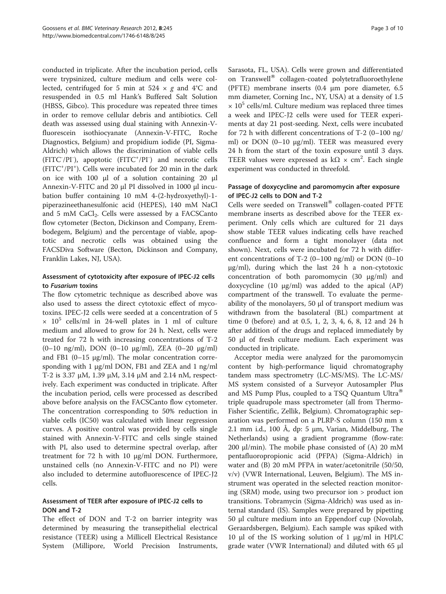conducted in triplicate. After the incubation period, cells were trypsinized, culture medium and cells were collected, centrifuged for 5 min at  $524 \times g$  and  $4^{\circ}$ C and resuspended in 0.5 ml Hank's Buffered Salt Solution (HBSS, Gibco). This procedure was repeated three times in order to remove cellular debris and antibiotics. Cell death was assessed using dual staining with Annexin-Vfluorescein isothiocyanate (Annexin-V-FITC, Roche Diagnostics, Belgium) and propidium iodide (PI, Sigma-Aldrich) which allows the discrimination of viable cells (FITC<sup>-</sup>/PI<sup>-</sup>), apoptotic (FITC<sup>+</sup>/PI<sup>-</sup>) and necrotic cells (FITC<sup>+</sup>/PI<sup>+</sup>). Cells were incubated for 20 min in the dark on ice with 100 μl of a solution containing 20 μl Annexin-V-FITC and 20 μl PI dissolved in 1000 μl incubation buffer containing 10 mM 4-(2-hydroxyethyl)-1 piperazineethanesulfonic acid (HEPES), 140 mM NaCl and 5 mM CaCl<sub>2</sub>. Cells were assessed by a FACSCanto flow cytometer (Becton, Dickinson and Company, Erembodegem, Belgium) and the percentage of viable, apoptotic and necrotic cells was obtained using the FACSDiva Software (Becton, Dickinson and Company, Franklin Lakes, NJ, USA).

## Assessment of cytotoxicity after exposure of IPEC-J2 cells to Fusarium toxins

The flow cytometric technique as described above was also used to assess the direct cytotoxic effect of mycotoxins. IPEC-J2 cells were seeded at a concentration of 5  $\times$  10<sup>5</sup> cells/ml in 24-well plates in 1 ml of culture medium and allowed to grow for 24 h. Next, cells were treated for 72 h with increasing concentrations of T-2 (0–10 ng/ml), DON (0–10 μg/ml), ZEA (0–20 μg/ml) and FB1 (0-15  $\mu$ g/ml). The molar concentration corresponding with 1 μg/ml DON, FB1 and ZEA and 1 ng/ml T-2 is 3.37 μM, 1.39 μM, 3.14 μM and 2.14 nM, respectively. Each experiment was conducted in triplicate. After the incubation period, cells were processed as described above before analysis on the FACSCanto flow cytometer. The concentration corresponding to 50% reduction in viable cells (IC50) was calculated with linear regression curves. A positive control was provided by cells single stained with Annexin-V-FITC and cells single stained with PI, also used to determine spectral overlap, after treatment for 72 h with 10 μg/ml DON. Furthermore, unstained cells (no Annexin-V-FITC and no PI) were also included to determine autofluorescence of IPEC-J2 cells.

#### Assessment of TEER after exposure of IPEC-J2 cells to DON and T-2

The effect of DON and T-2 on barrier integrity was determined by measuring the transepithelial electrical resistance (TEER) using a Millicell Electrical Resistance System (Millipore, World Precision Instruments,

Sarasota, FL, USA). Cells were grown and differentiated on Transwell® collagen-coated polytetrafluoroethylene (PFTE) membrane inserts (0.4 μm pore diameter, 6.5 mm diameter, Corning Inc., NY, USA) at a density of 1.5  $\times$  10<sup>5</sup> cells/ml. Culture medium was replaced three times a week and IPEC-J2 cells were used for TEER experiments at day 21 post-seeding. Next, cells were incubated for 72 h with different concentrations of T-2 (0–100 ng/ ml) or DON (0-10 μg/ml). TEER was measured every 24 h from the start of the toxin exposure until 3 days. TEER values were expressed as  $k\Omega \times cm^2$ . Each single experiment was conducted in threefold.

#### Passage of doxycycline and paromomycin after exposure of IPEC-J2 cells to DON and T-2

Cells were seeded on Transwell® collagen-coated PFTE membrane inserts as described above for the TEER experiment. Only cells which are cultured for 21 days show stable TEER values indicating cells have reached confluence and form a tight monolayer (data not shown). Next, cells were incubated for 72 h with different concentrations of T-2 (0–100 ng/ml) or DON (0–10 μg/ml), during which the last 24 h a non-cytotoxic concentration of both paromomycin (30 μg/ml) and doxycycline (10 μg/ml) was added to the apical (AP) compartment of the transwell. To evaluate the permeability of the monolayers, 50 μl of transport medium was withdrawn from the basolateral (BL) compartment at time 0 (before) and at 0.5, 1, 2, 3, 4, 6, 8, 12 and 24 h after addition of the drugs and replaced immediately by 50 μl of fresh culture medium. Each experiment was conducted in triplicate.

Acceptor media were analyzed for the paromomycin content by high-performance liquid chromatography tandem mass spectrometry (LC-MS/MS). The LC-MS/ MS system consisted of a Surveyor Autosampler Plus and MS Pump Plus, coupled to a TSQ Quantum Ultra $^{\circ}$ triple quadrupole mass spectrometer (all from Thermo-Fisher Scientific, Zellik, Belgium). Chromatographic separation was performed on a PLRP-S column (150 mm x 2.1 mm i.d., 100 Å, dp: 5 μm, Varian, Middelburg, The Netherlands) using a gradient programme (flow-rate: 200  $\mu$ l/min). The mobile phase consisted of (A) 20 mM pentafluoropropionic acid (PFPA) (Sigma-Aldrich) in water and (B) 20 mM PFPA in water/acetonitrile (50/50, v/v) (VWR International, Leuven, Belgium). The MS instrument was operated in the selected reaction monitoring (SRM) mode, using two precursor ion > product ion transitions. Tobramycin (Sigma-Aldrich) was used as internal standard (IS). Samples were prepared by pipetting 50 μl culture medium into an Eppendorf cup (Novolab, Geraardsbergen, Belgium). Each sample was spiked with 10 μl of the IS working solution of 1 μg/ml in HPLC grade water (VWR International) and diluted with 65 μl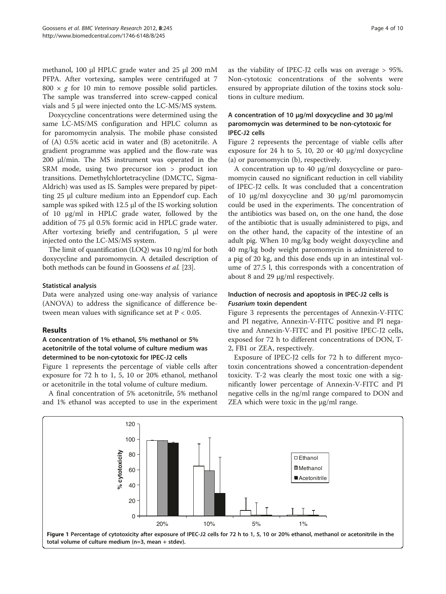methanol, 100 μl HPLC grade water and 25 μl 200 mM PFPA. After vortexing, samples were centrifuged at 7 800  $\times$  g for 10 min to remove possible solid particles. The sample was transferred into screw-capped conical vials and 5 μl were injected onto the LC-MS/MS system.

Doxycycline concentrations were determined using the same LC-MS/MS configuration and HPLC column as for paromomycin analysis. The mobile phase consisted of (A) 0.5% acetic acid in water and (B) acetonitrile. A gradient programme was applied and the flow-rate was 200 μl/min. The MS instrument was operated in the SRM mode, using two precursor ion > product ion transitions. Demethylchlortetracycline (DMCTC, Sigma-Aldrich) was used as IS. Samples were prepared by pipetting 25 μl culture medium into an Eppendorf cup. Each sample was spiked with 12.5 μl of the IS working solution of 10 μg/ml in HPLC grade water, followed by the addition of 75 μl 0.5% formic acid in HPLC grade water. After vortexing briefly and centrifugation, 5 μl were injected onto the LC-MS/MS system.

The limit of quantification (LOQ) was 10 ng/ml for both doxycycline and paromomycin. A detailed description of both methods can be found in Goossens et al. [\[23\]](#page-8-0).

#### Statistical analysis

Data were analyzed using one-way analysis of variance (ANOVA) to address the significance of difference between mean values with significance set at  $P < 0.05$ .

#### Results

## A concentration of 1% ethanol, 5% methanol or 5% acetonitrile of the total volume of culture medium was determined to be non-cytotoxic for IPEC-J2 cells

Figure 1 represents the percentage of viable cells after exposure for 72 h to 1, 5, 10 or 20% ethanol, methanol or acetonitrile in the total volume of culture medium.

A final concentration of 5% acetonitrile, 5% methanol and 1% ethanol was accepted to use in the experiment as the viability of IPEC-J2 cells was on average > 95%. Non-cytotoxic concentrations of the solvents were ensured by appropriate dilution of the toxins stock solutions in culture medium.

## A concentration of 10 μg/ml doxycycline and 30 μg/ml paromomycin was determined to be non-cytotoxic for IPEC-J2 cells

Figure [2](#page-4-0) represents the percentage of viable cells after exposure for 24 h to 5, 10, 20 or 40 μg/ml doxycycline (a) or paromomycin (b), respectively.

A concentration up to 40 μg/ml doxycycline or paromomycin caused no significant reduction in cell viability of IPEC-J2 cells. It was concluded that a concentration of 10 μg/ml doxycycline and 30 μg/ml paromomycin could be used in the experiments. The concentration of the antibiotics was based on, on the one hand, the dose of the antibiotic that is usually administered to pigs, and on the other hand, the capacity of the intestine of an adult pig. When 10 mg/kg body weight doxycycline and 40 mg/kg body weight paromomycin is administered to a pig of 20 kg, and this dose ends up in an intestinal volume of 27.5 l, this corresponds with a concentration of about 8 and 29 μg/ml respectively.

## Induction of necrosis and apoptosis in IPEC-J2 cells is Fusarium toxin dependent

Figure [3](#page-5-0) represents the percentages of Annexin-V-FITC and PI negative, Annexin-V-FITC positive and PI negative and Annexin-V-FITC and PI positive IPEC-J2 cells, exposed for 72 h to different concentrations of DON, T-2, FB1 or ZEA, respectively.

Exposure of IPEC-J2 cells for 72 h to different mycotoxin concentrations showed a concentration-dependent toxicity. T-2 was clearly the most toxic one with a significantly lower percentage of Annexin-V-FITC and PI negative cells in the ng/ml range compared to DON and ZEA which were toxic in the μg/ml range.

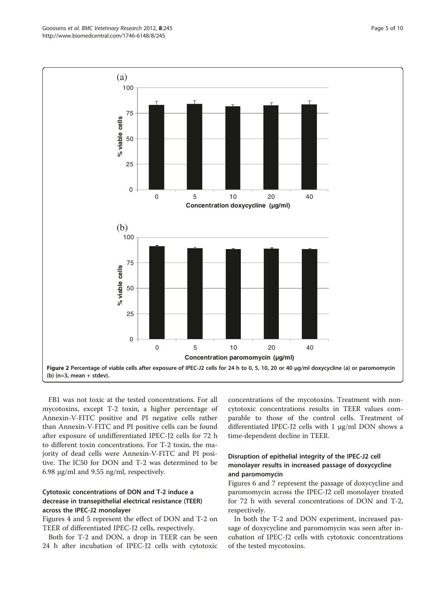FB1 was not toxic at the tested concentrations. For all mycotoxins, except T-2 toxin, a higher percentage of Annexin-V-FITC positive and PI negative cells rather than Annexin-V-FITC and PI positive cells can be found after exposure of undifferentiated IPEC-J2 cells for 72 h to different toxin concentrations. For T-2 toxin, the majority of dead cells were Annexin-V-FITC and PI positive. The IC50 for DON and T-2 was determined to be 6.98 μg/ml and 9.55 ng/ml, respectively.

## Cytotoxic concentrations of DON and T-2 induce a decrease in transepithelial electrical resistance (TEER) across the IPEC-J2 monolayer

Figures [4](#page-5-0) and [5](#page-6-0) represent the effect of DON and T-2 on TEER of differentiated IPEC-J2 cells, respectively.

Both for T-2 and DON, a drop in TEER can be seen 24 h after incubation of IPEC-J2 cells with cytotoxic

concentrations of the mycotoxins. Treatment with noncytotoxic concentrations results in TEER values comparable to those of the control cells. Treatment of differentiated IPEC-J2 cells with 1 μg/ml DON shows a time-dependent decline in TEER.

## Disruption of epithelial integrity of the IPEC-J2 cell monolayer results in increased passage of doxycycline and paromomycin

Figures [6](#page-6-0) and [7](#page-7-0) represent the passage of doxycycline and paromomycin across the IPEC-J2 cell monolayer treated for 72 h with several concentrations of DON and T-2, respectively.

In both the T-2 and DON experiment, increased passage of doxycycline and paromomycin was seen after incubation of IPEC-J2 cells with cytotoxic concentrations of the tested mycotoxins.

<span id="page-4-0"></span>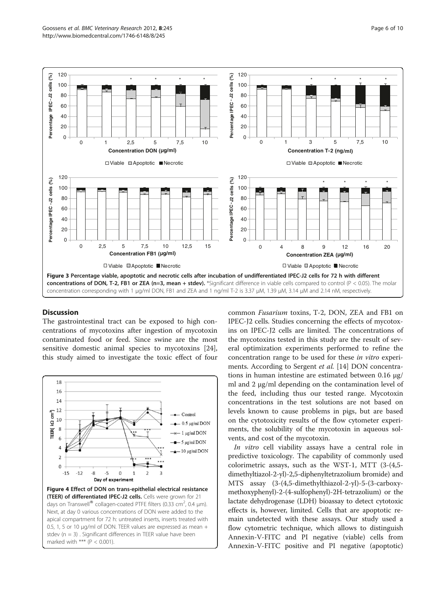<span id="page-5-0"></span>

#### **Discussion**

The gastrointestinal tract can be exposed to high concentrations of mycotoxins after ingestion of mycotoxin contaminated food or feed. Since swine are the most sensitive domestic animal species to mycotoxins [\[24](#page-8-0)], this study aimed to investigate the toxic effect of four



common Fusarium toxins, T-2, DON, ZEA and FB1 on IPEC-J2 cells. Studies concerning the effects of mycotoxins on IPEC-J2 cells are limited. The concentrations of the mycotoxins tested in this study are the result of several optimization experiments performed to refine the concentration range to be used for these in vitro experiments. According to Sergent *et al.* [[14\]](#page-8-0) DON concentrations in human intestine are estimated between 0.16 μg/ ml and 2 μg/ml depending on the contamination level of the feed, including thus our tested range. Mycotoxin concentrations in the test solutions are not based on levels known to cause problems in pigs, but are based on the cytotoxicity results of the flow cytometer experiments, the solubility of the mycotoxin in aqueous solvents, and cost of the mycotoxin.

In vitro cell viability assays have a central role in predictive toxicology. The capability of commonly used colorimetric assays, such as the WST-1, MTT (3-(4,5 dimethyltiazol-2-yl)-2,5-diphenyltetrazolium bromide) and MTS assay (3-(4,5-dimethylthiazol-2-yl)-5-(3-carboxymethoxyphenyl)-2-(4-sulfophenyl)-2H-tetrazolium) or the lactate dehydrogenase (LDH) bioassay to detect cytotoxic effects is, however, limited. Cells that are apoptotic remain undetected with these assays. Our study used a flow cytometric technique, which allows to distinguish Annexin-V-FITC and PI negative (viable) cells from Annexin-V-FITC positive and PI negative (apoptotic)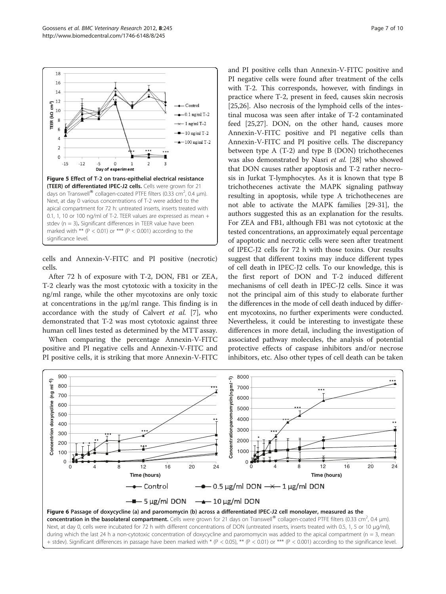<span id="page-6-0"></span>

cells and Annexin-V-FITC and PI positive (necrotic) cells.

After 72 h of exposure with T-2, DON, FB1 or ZEA, T-2 clearly was the most cytotoxic with a toxicity in the ng/ml range, while the other mycotoxins are only toxic at concentrations in the μg/ml range. This finding is in accordance with the study of Calvert et al. [\[7](#page-8-0)], who demonstrated that T-2 was most cytotoxic against three human cell lines tested as determined by the MTT assay.

When comparing the percentage Annexin-V-FITC positive and PI negative cells and Annexin-V-FITC and PI positive cells, it is striking that more Annexin-V-FITC

and PI positive cells than Annexin-V-FITC positive and PI negative cells were found after treatment of the cells with T-2. This corresponds, however, with findings in practice where T-2, present in feed, causes skin necrosis [[25,](#page-8-0)[26\]](#page-9-0). Also necrosis of the lymphoid cells of the intestinal mucosa was seen after intake of T-2 contaminated feed [[25](#page-8-0),[27](#page-9-0)]. DON, on the other hand, causes more Annexin-V-FITC positive and PI negative cells than Annexin-V-FITC and PI positive cells. The discrepancy between type A (T-2) and type B (DON) trichothecenes was also demonstrated by Nasri et al. [\[28\]](#page-9-0) who showed that DON causes rather apoptosis and T-2 rather necrosis in Jurkat T-lymphocytes. As it is known that type B trichothecenes activate the MAPK signaling pathway resulting in apoptosis, while type A trichothecenes are not able to activate the MAPK families [\[29](#page-9-0)-[31](#page-9-0)], the authors suggested this as an explanation for the results. For ZEA and FB1, although FB1 was not cytotoxic at the tested concentrations, an approximately equal percentage of apoptotic and necrotic cells were seen after treatment of IPEC-J2 cells for 72 h with those toxins. Our results suggest that different toxins may induce different types of cell death in IPEC-J2 cells. To our knowledge, this is the first report of DON and T-2 induced different mechanisms of cell death in IPEC-J2 cells. Since it was not the principal aim of this study to elaborate further the differences in the mode of cell death induced by different mycotoxins, no further experiments were conducted. Nevertheless, it could be interesting to investigate these differences in more detail, including the investigation of associated pathway molecules, the analysis of potential protective effects of caspase inhibitors and/or necrose inhibitors, etc. Also other types of cell death can be taken



Next, at day 0, cells were incubated for 72 h with different concentrations of DON (untreated inserts, inserts treated with 0.5, 1, 5 or 10 μg/ml), during which the last 24 h a non-cytotoxic concentration of doxycycline and paromomycin was added to the apical compartment (n = 3, mean + stdev). Significant differences in passage have been marked with \* (P < 0.05), \*\* (P < 0.01) or \*\*\* (P < 0.001) according to the significance level.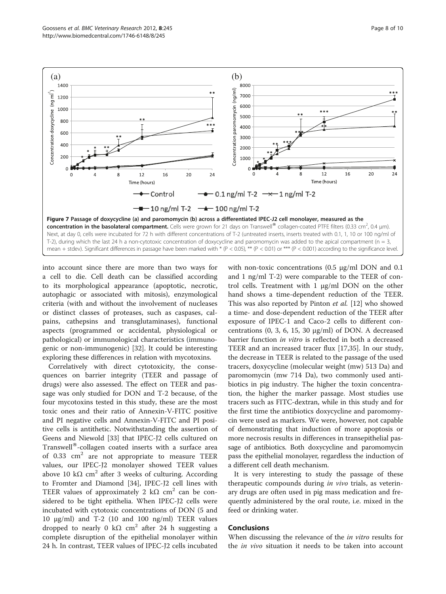<span id="page-7-0"></span>

into account since there are more than two ways for a cell to die. Cell death can be classified according to its morphological appearance (apoptotic, necrotic, autophagic or associated with mitosis), enzymological criteria (with and without the involvement of nucleases or distinct classes of proteases, such as caspases, calpains, cathepsins and transglutaminases), functional aspects (programmed or accidental, physiological or pathological) or immunological characteristics (immunogenic or non-immunogenic) [[32](#page-9-0)]. It could be interesting exploring these differences in relation with mycotoxins.

Correlatively with direct cytotoxicity, the consequences on barrier integrity (TEER and passage of drugs) were also assessed. The effect on TEER and passage was only studied for DON and T-2 because, of the four mycotoxins tested in this study, these are the most toxic ones and their ratio of Annexin-V-FITC positive and PI negative cells and Annexin-V-FITC and PI positive cells is antithetic. Notwithstanding the assertion of Geens and Niewold [\[33](#page-9-0)] that IPEC-J2 cells cultured on Transwell $^{\circledR}$ -collagen coated inserts with a surface area of 0.33  $\text{cm}^2$  are not appropriate to measure TEER values, our IPEC-J2 monolayer showed TEER values above 10 kΩ cm<sup>2</sup> after 3 weeks of culturing. According to Fromter and Diamond [\[34](#page-9-0)], IPEC-J2 cell lines with TEER values of approximately 2 k $\Omega$  cm<sup>2</sup> can be considered to be tight epithelia. When IPEC-J2 cells were incubated with cytotoxic concentrations of DON (5 and 10 μg/ml) and T-2 (10 and 100 ng/ml) TEER values dropped to nearly 0 kΩ cm<sup>2</sup> after 24 h suggesting a complete disruption of the epithelial monolayer within 24 h. In contrast, TEER values of IPEC-J2 cells incubated

with non-toxic concentrations (0.5 μg/ml DON and 0.1 and 1 ng/ml T-2) were comparable to the TEER of control cells. Treatment with 1 μg/ml DON on the other hand shows a time-dependent reduction of the TEER. This was also reported by Pinton et al. [\[12](#page-8-0)] who showed a time- and dose-dependent reduction of the TEER after exposure of IPEC-1 and Caco-2 cells to different concentrations  $(0, 3, 6, 15, 30 \mu g/ml)$  of DON. A decreased barrier function in vitro is reflected in both a decreased TEER and an increased tracer flux [\[17](#page-8-0)[,35](#page-9-0)]. In our study, the decrease in TEER is related to the passage of the used tracers, doxycycline (molecular weight (mw) 513 Da) and paromomycin (mw 714 Da), two commonly used antibiotics in pig industry. The higher the toxin concentration, the higher the marker passage. Most studies use tracers such as FITC-dextran, while in this study and for the first time the antibiotics doxycycline and paromomycin were used as markers. We were, however, not capable of demonstrating that induction of more apoptosis or more necrosis results in differences in transepithelial passage of antibiotics. Both doxycycline and paromomycin pass the epithelial monolayer, regardless the induction of a different cell death mechanism.

It is very interesting to study the passage of these therapeutic compounds during in vivo trials, as veterinary drugs are often used in pig mass medication and frequently administered by the oral route, i.e. mixed in the feed or drinking water.

#### Conclusions

When discussing the relevance of the *in vitro* results for the in vivo situation it needs to be taken into account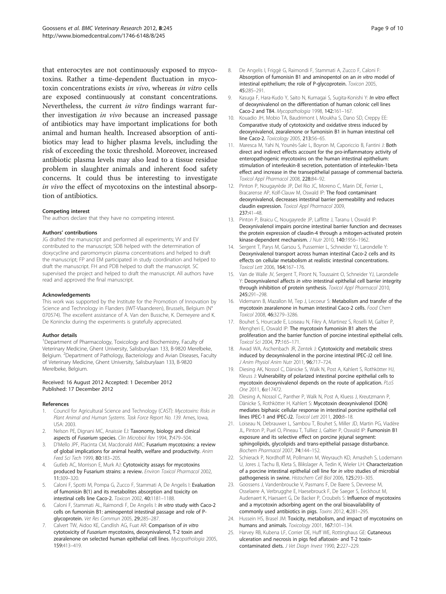<span id="page-8-0"></span>that enterocytes are not continuously exposed to mycotoxins. Rather a time-dependent fluctuation in mycotoxin concentrations exists in vivo, whereas in vitro cells are exposed continuously at constant concentrations. Nevertheless, the current in vitro findings warrant further investigation in vivo because an increased passage of antibiotics may have important implications for both animal and human health. Increased absorption of antibiotics may lead to higher plasma levels, including the risk of exceeding the toxic threshold. Moreover, increased antibiotic plasma levels may also lead to a tissue residue problem in slaughter animals and inherent food safety concerns. It could thus be interesting to investigate in vivo the effect of mycotoxins on the intestinal absorption of antibiotics.

#### Competing interest

The authors declare that they have no competing interest.

#### Authors' contributions

JG drafted the manuscript and performed all experiments; W and EV contributed to the manuscript; SDB helped with the determination of doxycycline and paromomycin plasma concentrations and helped to draft the manuscript; FP and EM participated in study coordination and helped to draft the manuscript. FH and PDB helped to draft the manuscript. SC supervised the project and helped to draft the manuscript. All authors have read and approved the final manuscript.

#### Acknowledgements

This work was supported by the Institute for the Promotion of Innovation by Science and Technology in Flanders (IWT-Vlaanderen), Brussels, Belgium (N° 070574). The excellent assistance of A. Van den Bussche, K. Demeyere and K. De Koninckx during the experiments is gratefully appreciated.

#### Author details

<sup>1</sup>Department of Pharmacology, Toxicology and Biochemistry, Faculty of Veterinary Medicine, Ghent University, Salisburylaan 133, B-9820 Merelbeke, Belgium. <sup>2</sup>Department of Pathology, Bacteriology and Avian Diseases, Faculty of Veterinary Medicine, Ghent University, Salisburylaan 133, B-9820 Merelbeke, Belgium.

#### Received: 16 August 2012 Accepted: 1 December 2012 Published: 17 December 2012

#### References

- 1. Council for Agricultural Science and Technology (CAST): Mycotoxins: Risks in Plant Animal and Human Systems. Task Force Report No. 139. Ames, Iowa, USA: 2003.
- Nelson PE, Dignani MC, Anaissie EJ: Taxonomy, biology and clinical aspects of Fusarium species. Clin Microbiol Rev 1994, 7:479–504.
- 3. D'Mello JPF, Placinta CM, Macdonald AMC: Fusarium mycotoxins: a review of global implications for animal health, welfare and productivity. Anim Feed Sci Tech 1999, 80:183–205.
- 4. Gutleb AC, Morrison E, Murk AJ: Cytotoxicity assays for mycotoxins produced by Fusarium strains: a review. Environ Toxicol Pharmacol 2002, 11:309–320.
- 5. Caloni F, Spotti M, Pompa G, Zucco F, Stammati A, De Angelis I: Evaluation of fumonisin B(1) and its metabolites absorption and toxicity on intestinal cells line Caco-2. Toxicon 2002, 40:1181–1188.
- Caloni F, Stammati AL, Raimondi F, De Angelis I: *In vitro study with Caco-2* cells on fumonisin B1: aminopentol intestinal passage and role of Pglycoprotein. Vet Res Commun 2005, 29:285–287.
- 7. Calvert TW, Aidoo KE, Candlish AG, Fuat AR: Comparison of in vitro cytotoxicity of Fusarium mycotoxins, deoxynivalenol, T-2 toxin and zearalenone on selected human epithelial cell lines. Mycopathologia 2005, 159:413–419.
- 8. De Angelis I, Friggè G, Raimondi F, Stammati A, Zucco F, Caloni F: Absorption of fumonisin B1 and aminopentol on an in vitro model of intestinal epithelium; the role of P-glycoprotein. Toxicon 2005, 45:285–291.
- 9. Kasuga F, Hara-Kudo Y, Saito N, Kumagai S, Sugita-Konishi Y: In vitro effect of deoxynivalenol on the differentiation of human colonic cell lines Caco-2 and T84. Mycopathologia 1998, 142:161–167.
- 10. Kouadio JH, Mobio TA, Baudrimont I, Moukha S, Dano SD, Creppy EE: Comparative study of cytotoxicity and oxidative stress induced by deoxynivalenol, zearalenone or fumonisin B1 in human intestinal cell line Caco-2. Toxicology 2005, 213:56-65.
- 11. Maresca M, Yahi N, Younès-Sakr L, Boyron M, Caporiccio B, Fantini J: Both direct and indirect effects account for the pro-inflammatory activity of enteropathogenic mycotoxins on the human intestinal epithelium: stimulation of interleukin-8 secretion, potentiation of interleukin-1beta effect and increase in the transepithelial passage of commensal bacteria. Toxicol Appl Pharmacol 2008, 228:84–92.
- 12. Pinton P, Nougayrède JP, Del Rio JC, Moreno C, Marin DE, Ferrier L, Bracarense AP, Kolf-Clauw M, Oswald IP: The food contaminant deoxynivalenol, decreases intestinal barrier permeability and reduces claudin expression. Toxicol Appl Pharmacol 2009, 237:41–48.
- 13. Pinton P, Braicu C, Nougayrede JP, Laffitte J, Taranu I, Oswald IP: Deoxynivalenol impairs porcine intestinal barrier function and decreases the protein expression of claudin-4 through a mitogen-activated protein kinase-dependent mechanism. J Nutr 2010, 140:1956–1962.
- 14. Sergent T, Parys M, Garsou S, Pussemier L, Schneider YJ, Larondelle Y: Deoxynivalenol transport across human intestinal Caco-2 cells and its effects on cellular metabolism at realistic intestinal concentrations. Toxicol Lett 2006, 164:167–176.
- 15. Van de Walle JV, Sergent T, Piront N, Toussaint O, Schneider YJ, Larondelle Y: Deoxynivalenol affects in vitro intestinal epithelial cell barrier integrity through inhibition of protein synthesis. Toxicol Appl Pharmacol 2010, 245:291–298.
- 16. Videmann B, Mazallon M, Tep J, Lecoeur S: Metabolism and transfer of the mycotoxin zearalenone in human intestinal Caco-2 cells. Food Chem Toxicol 2008, 46:3279–3286.
- 17. Bouhet S, Hourcade E, Loiseau N, Fikry A, Martinez S, Roselli M, Galtier P, Mengheri E, Oswald IP: The mycotoxin fumonisin B1 alters the proliferation and the barrier function of porcine intestinal epithelial cells. Toxicol Sci 2004, 77:165–171.
- 18. Awad WA, Aschenbach JR, Zentek J: Cytotoxicity and metabolic stress induced by deoxynivalenol in the porcine intestinal IPEC-J2 cell line. J Anim Physiol Anim Nutr 2011, 96:717–724.
- 19. Diesing AK, Nossol C, Dänicke S, Walk N, Post A, Kahlert S, Rothkötter HJ, Kleuss J: Vulnerability of polarized intestinal porcine epithelial cells to mycotoxin deoxynivalenol depends on the route of application. PLoS One 2011, 6:e17472.
- 20. Diesing A, Nossol C, Panther P, Walk N, Post A, Kluess J, Kreutzmann P, Dänicke S, Rothkötter H, Kahlert S: Mycotoxin deoxynivalenol (DON) mediates biphasic cellular response in intestinal porcine epithelial cell lines IPEC-1 and IPEC-J2. Toxicol Lett 2011, 200:8–18.
- 21. Loiseau N, Debrauwer L, Sambou T, Bouhet S, Miller JD, Martin PG, Viadère JL, Pinton P, Puel O, Pineau T, Tulliez J, Galtier P, Oswald IP: Fumonisin B1 exposure and its selective effect on porcine jejunal segment: sphingolipids, glycolipids and trans-epithelial passage disturbance. Biochem Pharmacol 2007, 74:144–152.
- 22. Schierack P, Nordhoff M, Pollmann M, Weyrauch KD, Amasheh S, Lodemann U, Jores J, Tachu B, Kleta S, Blikslager A, Tedin K, Wieler LH: Characterization of a porcine intestinal epithelial cell line for in vitro studies of microbial pathogenesis in swine. Histochem Cell Biol 2006, 125:293–305.
- 23. Goossens J, Vandenbroucke V, Pasmans F, De Baere S, Devreese M, Osselaere A, Verbrugghe E, Haesebrouck F, De Saeger S, Eeckhout M, Audenaert K, Haesaert G, De Backer P, Croubels S: Influence of mycotoxins and a mycotoxin adsorbing agent on the oral bioavailability of commonly used antibiotics in pigs. Toxins 2012, 4:281–295.
- 24. Hussein HS, Brasel JM: Toxicity, metabolism, and impact of mycotoxins on humans and animals. Toxicology 2001, 167:101-134.
- 25. Harvey RB, Kubena LF, Corrier DE, Huff WE, Rottinghaus GE: Cutaneous ulceration and necrosis in pigs fed aflatoxin- and T-2 toxincontaminated diets. J Vet Diagn Invest 1990, 2:227–229.